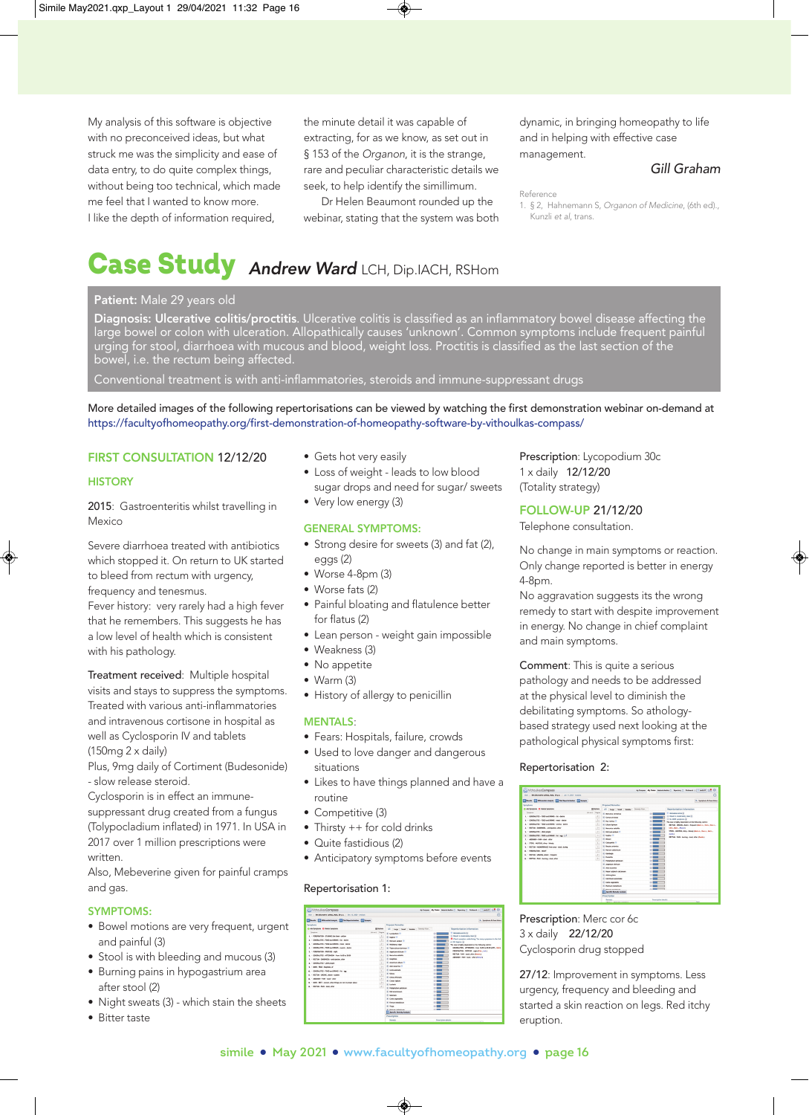My analysis of this software is objective with no preconceived ideas, but what struck me was the simplicity and ease of data entry, to do quite complex things, without being too technical, which made me feel that I wanted to know more. I like the depth of information required,

the minute detail it was capable of extracting, for as we know, as set out in § 153 of the Organon, it is the strange, rare and peculiar characteristic details we seek, to help identify the simillimum.

Dr Helen Beaumont rounded up the webinar, stating that the system was both dynamic, in bringing homeopathy to life and in helping with effective case management.

# Gill Graham

1. § 2, Hahnemann S, Organon of Medicine, (6th ed)., Kunzli et al, trans.

# Case Study Andrew Ward LCH, Dip.IACH, RSHom

## Patient: Male 29 years old

Diagnosis: Ulcerative colitis/proctitis. Ulcerative colitis is classified as an inflammatory bowel disease affecting the large bowel or colon with ulceration. Allopathically causes 'unknown'. Common symptoms include frequent painful urging for stool, diarrhoea with mucous and blood, weight loss. Proctitis is classified as the last section of the bowel, i.e. the rectum being affected.

Conventional treatment is with anti-inflammatories, steroids and immune-suppressant drugs

More detailed images of the following repertorisations can be viewed by watching the first demonstration webinar on-demand at <https://facultyofhomeopathy.org/first-demonstration-of-homeopathy-software-by-vithoulkas-compass/>

## FIRST CONSULTATION 12/12/20

## **HISTORY**

2015: Gastroenteritis whilst travelling in Mexico

Severe diarrhoea treated with antibiotics which stopped it. On return to UK started to bleed from rectum with urgency, frequency and tenesmus.

Fever history: very rarely had a high fever that he remembers. This suggests he has a low level of health which is consistent with his pathology.

Treatment received: Multiple hospital visits and stays to suppress the symptoms. Treated with various anti-inflammatories and intravenous cortisone in hospital as well as Cyclosporin IV and tablets (150mg 2 x daily)

Plus, 9mg daily of Cortiment (Budesonide) - slow release steroid.

Cyclosporin is in effect an immune-

suppressant drug created from a fungus (Tolypocladium inflated) in 1971. In USA in 2017 over 1 million prescriptions were written.

Also, Mebeverine given for painful cramps and gas.

## SYMPTOMS:

- Bowel motions are very frequent, urgent and painful (3)
- Stool is with bleeding and mucous (3)
- Burning pains in hypogastrium area after stool (2)
- Night sweats (3) which stain the sheets
- Bitter taste
- Gets hot very easily
- Loss of weight leads to low blood sugar drops and need for sugar/ sweets
- Very low energy (3)

#### GENERAL SYMPTOMS:

- Strong desire for sweets (3) and fat (2), eggs (2)
- Worse 4-8pm (3)
- Worse fats (2)
- Painful bloating and flatulence better for flatus (2)
- Lean person weight gain impossible
- Weakness (3)
- No appetite
- Warm (3)
- History of allergy to penicillin

## MENTALS:

- Fears: Hospitals, failure, crowds
- Used to love danger and dangerous situations
- Likes to have things planned and have a routine
- Competitive (3)
- Thirsty ++ for cold drinks
- Quite fastidious (2)
- Anticipatory symptoms before events

## Repertorisation 1:

| (c) Withoulkas Compass<br>Holt 1. 0N EDcendive collidat, Mds. 30 p.a., 11 Doc 12, 2020 - Analysis |                |                                                                  | ന                                                                                    |
|---------------------------------------------------------------------------------------------------|----------------|------------------------------------------------------------------|--------------------------------------------------------------------------------------|
| <b>Execute Conferential Analysis</b> [14] Flat Reporterization [15] Sympan                        |                |                                                                  | 4. Symptoms & Case Hotel                                                             |
| Sumptoms                                                                                          |                | <b>Proposed Remedies</b>                                         |                                                                                      |
| C AN Simptons C Delate Simptons                                                                   | Ei/ation       | All Law Seat league forestries                                   | Reportor bation Information                                                          |
| <b>Senaton</b>                                                                                    | Po art) Drame  | St Leapydum 11                                                   | 147 Metadata awaka 1411<br>$\sim$                                                    |
| L - RESPACTOR - STARING the lines - velice                                                        | 3.1            | <b>St. School Fil</b>                                            | C Result is moderately clear (A)<br>m                                                |
| 3. - GENERALITIES - POOD and DRIVIES - for - desire                                               | 18             | Si Manuel addus O                                                | Check symptom underlining. Two mone numeroms in the 3rd<br>×<br>or eth degree. (6)   |
| 1 - GENERALISEN - POSTA ANCHENNEL - mage - design                                                 | $\mathbf{1}$   | <b>IX Hellebanus niger</b>                                       | e<br>The case is highly dependent on the following rubrics:                          |
| 4. 1 GENERALTES - FOOD and DRIVES - sweets - desire                                               | 1.1            | 30 Yahamatkan badsun (1)                                         | GENERALTIES - AFTERHOOK - from 14:00 to 28:00 (LYE., Hell.)<br>$\circ$               |
| 1. - PERSYMATION - PROFILEE - Hallet                                                              | $\mathbb{R}$   | <b>IE</b> Anannum sindows <sup>(ii)</sup>                        | PERSPRINTING - PROFUSE - Hight (Tub., Lisb.)<br>m                                    |
| 4 - GENERALTON, AFTERNOON, Ave. 14-M to 20-M                                                      | 18             | 10 Metro La Middle                                               | METRIA - PAN - your after thems to<br>×<br>ablication Paint street caller illineard. |
| 2. - RECTUR-DARRICKA - anticipation, after                                                        | $3 + 1$        | <b>El Graddos</b>                                                |                                                                                      |
| 8. - GENERALTIES - LEAN amazin                                                                    | $\mathbb{R}$   | X Annibum attum O                                                |                                                                                      |
| A - MMD - FEAR - housekels of                                                                     | $\mathbb{R}^n$ | X Abe superea D                                                  |                                                                                      |
| 10. - GENERALTIES - FOOD AND DRIVIES - Tel - AMA                                                  | $\mathcal{L}$  | <b>IE Farte selects</b>                                          |                                                                                      |
| 11 - BECTUM LARGING, desire capitant                                                              | $\mathbf{r}$   | <b>SC Sticks</b>                                                 | $\sim$                                                                               |
| 15 - Abbrahy - Falt - Hod - War                                                                   | $\mathbb{R}^n$ | 14 China millionsale.<br><b>El Crotes Hellers</b>                | m                                                                                    |
| (2. 1 HRD - RDT - cannel, when things are not in proper place                                     | $\rightarrow$  |                                                                  |                                                                                      |
| ta - RECTURE - PARE - short, after                                                                | 1.1            | X Labeth<br><b>ST Automotive outsides</b>                        |                                                                                      |
|                                                                                                   |                | <b>If Adjances</b>                                               | ×                                                                                    |
|                                                                                                   |                | H. Scientism                                                     | ٠                                                                                    |
|                                                                                                   |                | <b>El Carte reservante</b>                                       | ٠                                                                                    |
|                                                                                                   |                | X fenus extation                                                 |                                                                                      |
|                                                                                                   |                | <b>SC Parts</b>                                                  |                                                                                      |
|                                                                                                   |                | of Mahoum Parkenthum<br><b><i>A Sportive homedy Analysis</i></b> | m                                                                                    |
|                                                                                                   |                | Prescription                                                     |                                                                                      |
|                                                                                                   |                | <b>Banada</b>                                                    | Procription details:                                                                 |

Prescription: Lycopodium 30c 1 x daily 12/12/20 (Totality strategy)

FOLLOW-UP 21/12/20

Telephone consultation.

No change in main symptoms or reaction. Only change reported is better in energy 4-8pm.

No aggravation suggests its the wrong remedy to start with despite improvement in energy. No change in chief complaint and main symptoms.

Comment: This is quite a serious pathology and needs to be addressed at the physical level to diminish the debilitating symptoms. So athologybased strategy used next looking at the pathological physical symptoms first:

## Repertorisation 2:

| (c) Withoulkas Compass                                               |                  |                                           | Au Compass My Cases Musers Medica () Aspertory () Professor ( ) & andtorn             |
|----------------------------------------------------------------------|------------------|-------------------------------------------|---------------------------------------------------------------------------------------|
| Holt : 04 Ghoradhe colitics, Male, 30 s.p. 1: Jan 11, 2021 - Andleth |                  |                                           | G.                                                                                    |
|                                                                      |                  |                                           |                                                                                       |
| <b>Extends Experience Andrew Engineering Company</b>                 |                  |                                           | A. Sumptoms & Core Muteo                                                              |
| Surveilland                                                          |                  | <b>Processed Bernardian</b>               |                                                                                       |
| C AM Severage C Detete Severage                                      | <b>Thinkins</b>  | All Large   Seat   Modde   Revenue Com    | Repertorisation Information                                                           |
| Summer.                                                              | We are in Boarne | <b>R. Benurba servator</b>                | Si anno abbane 6<br>m                                                                 |
| 1 - GENERALFOEL, FOOR and ESSAEL, Le., Anica                         | $\lambda$        | <b>Il Fonce delega</b>                    | El fiesol is moderately clear (6)<br>×                                                |
| 1 / GENERALTON, FOOR AND FRONT - DAVID - BASIN                       | 2.5              | <b>If the weeks fr</b>                    | El ta and counters in<br>m1<br>The case is highly dependent on the following rubrics: |
| 3. - GENERALTWES - FOOD and ERONOS - seeming - devices               | 18               | H. Lillam Harlman                         | $\blacksquare$<br>RECTUR . UREINS, desire - frequent Direct C., Carn., Marro.,        |
| 4 - RCTus - Dishbell's anticipation after                            | 18               | A Mexicha solubilis                       | <b>LEA. Mars., Shound</b><br>×                                                        |
| 5 - GENERAL FIRS - LEWIS COUNTY                                      | 18               | 37 Million widow fill                     | 1703. HODDA, slow - Mode Direct, Navy., Rev.,<br><b>G</b>                             |
| 6. 1 CENERALTIES - FOOD and DRIVES - Sat - age. (2.)                 | 18               | <b>ST Solder IT</b>                       | Gent.)<br>m<br>RECTURY - PADE - burning - stock, what atlants is                      |
| 2. - ABDOMEN - PADE - stock - after                                  | 11.1             | <b>R. Base</b>                            | m                                                                                     |
| 8. - \$700L - MICOUL slimy - Membr                                   | $\mathbf{r}$     | X Colorados O                             | œ۱                                                                                    |
| 5. 1 BSCTum, hadapted-pald from any 1 styl. Autor.                   | $\overline{1}$   | <b>Il Annuncione</b>                      | m                                                                                     |
| to - Integrazione capitali                                           | $\overline{1}$   | <b>In National carbonicses</b>            | ۰                                                                                     |
| tt. - RCTUK-1RONG, delive-frequent                                   | $\mathbf{1}$     | <b>H</b> Cardinals                        |                                                                                       |
| (3. - RECTUR-FURI-burning - shed, after                              | 12.4             | 31 Pulsatilla                             | œ۱                                                                                    |
|                                                                      |                  | 3) Pedaghyllum peltutum                   | m                                                                                     |
|                                                                      |                  | 2. Announcement                           | m                                                                                     |
|                                                                      |                  | A doe society<br>3) Hear adducts catareum | m                                                                                     |
|                                                                      |                  | 2) Anton groce                            | m                                                                                     |
|                                                                      |                  | P. Calchinatt automobile                  |                                                                                       |
|                                                                      |                  | <b>H</b> Cello wantable                   | œ۱                                                                                    |
|                                                                      |                  | 37 Marinah Astalland                      | m                                                                                     |
|                                                                      |                  | <b>R. Moon municipal</b>                  | <b>COLOR</b>                                                                          |
|                                                                      |                  | <b>All Sparity Remark Analysis</b>        |                                                                                       |
|                                                                      |                  | Prescription                              |                                                                                       |
|                                                                      |                  | <b>Benedy</b>                             | Personalize Artists                                                                   |

Prescription: Merc cor 6c 3 x daily 22/12/20 Cyclosporin drug stopped

27/12: Improvement in symptoms. Less urgency, frequency and bleeding and started a skin reaction on legs. Red itchy eruption.

Reference